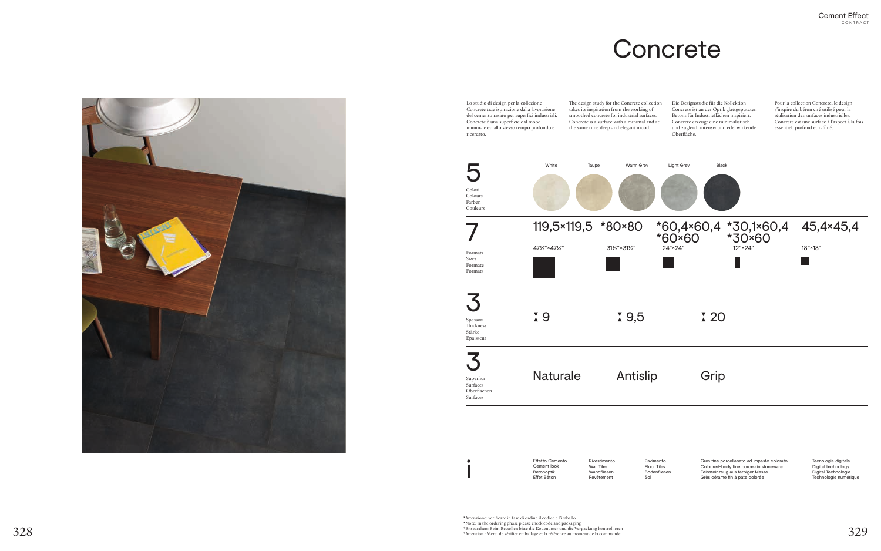# **Concrete**

Gres fine porcellanato ad impasto colorato Coloured-body fine porcelain stoneware Feinsteinzeug aus farbiger Masse Grès cérame fin à pâte colorée

Tecnologia digitale Digital technology Digital Technologie Technologie numérique

Rivestimento Wall Tiles Wandfliesen Revêtement

Effetto Cemento Cement look Betonoptik Effet Béton

\*Attenzione: verificare in fase di ordine il codice e l'imballo  $328\,$  Wote: In the ordering phase please check code and packaging \*Bitteacthen: Beim Bestellen bitte die Kodenumer und die Verpackung kontrollieren \*Bitteacthen: Beim Bestellen bitte die Kodenumer und die Verpackung kon Pavimento Floor Tiles Bodenfliesen Sol





5 Lo studio di design per la collezione Concrete trae ispirazione dalla lavorazione del cemento rasato per superfici industriali. Concrete è una superficie dal mood minimale ed allo stesso tempo profondo e ricercato. The design study for the Concrete collection takes its inspiration from the working of smoothed concrete for industrial surfaces. Concrete is a surface with a minimal and at the same time deep and elegant mood. 3 3  $\overline{\phantom{a}}$ 119,5×119,5 \*80×80 47⅛"×47⅛" 31½"×31½" Colori Colours Farben Couleurs Formati Sizes Formate Formats Spessori Thickness Stärke Epaisseur Superfici Surfaces Oberflächen Surfaces

Die Designstudie für die Kollektion Concrete ist an der Optik glattgeputzten Betons für Industrieflächen inspiriert. Concrete erzeugt eine minimalistisch und zugleich intensiv und edel wirkende Oberfläche.

Pour la collection Concrete, le design s'inspire du béton ciré utilisé pour la réalisation des surfaces industrielles. Concrete est une surface à l'aspect à la fois essentiel, profond et raffiné.

i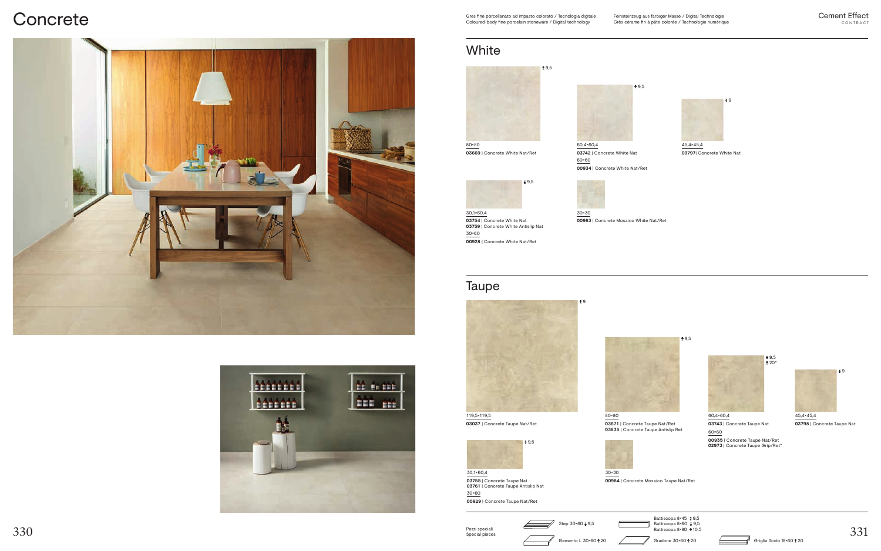Pezzi speciali Special pieces

### **Concrete**





Gres fine porcellanato ad impasto colorato / Tecnologia digitale Coloured-body fine porcelain stoneware / Digital technology



### Taupe





30,1×60,4 **03755** | Concrete Taupe Nat **03761** | Concrete Taupe Antislip Nat 30×60 **00929** | Concrete Taupe Nat/Ret





119,5×119,5 **03037** | Concrete Taupe Nat/Ret

### White



30,1×60,4 **03754** | Concrete White Nat **03759** | Concrete White Antislip Nat 30×60 **00928** | Concrete White Nat/Ret

60,4×60,4 **03742** | Concrete White Nat 60×60 **00934** | Concrete White Nat/Ret



30×30 **00983** | Concrete Mosaico White Nat/Ret

¥9



**03669** | Concrete White Nat/Ret





**03797**| Concrete White Nat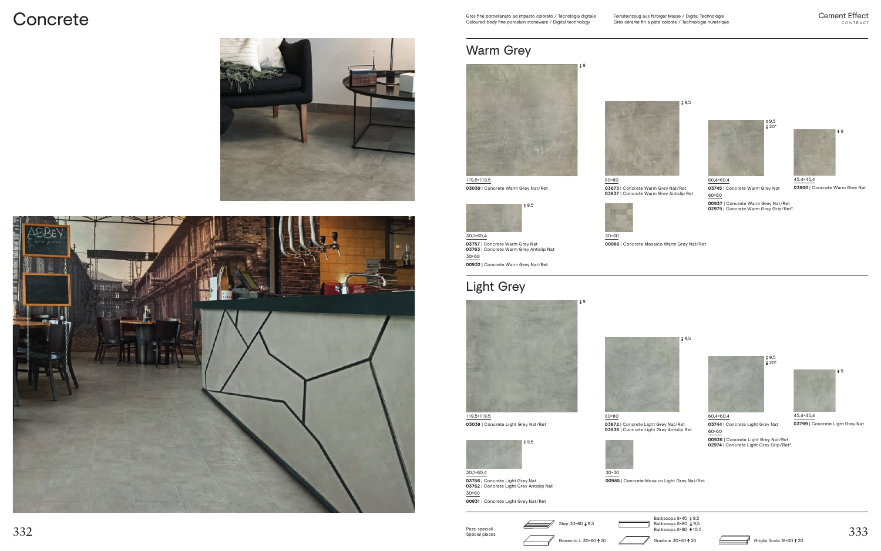Pezzi speciali Special pieces ₹9

## **Concrete**

### Light Grey





30,1×60,4 **03756** | Concrete Light Grey Nat **03762** | Concrete Light Grey Antislip Nat 30×60 **00931** | Concrete Light Grey Nat/Ret



Elemento L 30×60  $\overrightarrow{1}$  20 Gradone 30×60  $\overrightarrow{1}$  20 Griglia Scolo 18×60  $\overrightarrow{2}$  20

Battiscopa 8×80 ¥ 10,5









119,5×119,5 **03038** | Concrete Light Grey Nat/Ret

### Warm Grey





30×30 **00986** | Concrete Mosaico Warm Grey Nat/Ret

9 ∔

30,1×60,4 **03757** | Concrete Warm Grey Nat **03763** | Concrete Warm Grey Antislip Nat 30×60 **00932** | Concrete Warm Grey Nat/Ret

45,4×45,4 **03800** | Concrete Warm Grey Nat





 $*9,5$ 





### 60,4×60,4

**03745** | Concrete Warm Grey Nat 60×60

**00937** | Concrete Warm Grey Nat/Ret **02975** | Concrete Warm Grey Grip/Ret\*



119,5×119,5 **03039** | Concrete Warm Grey Nat/Ret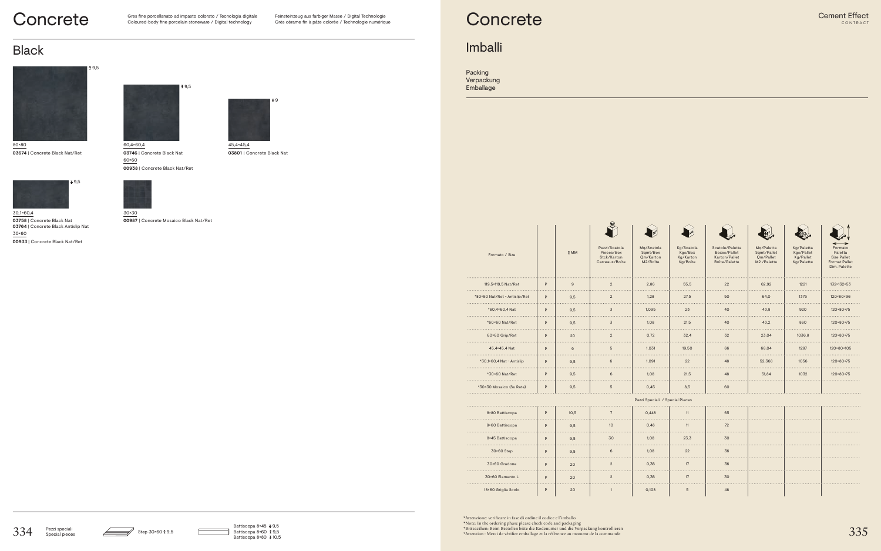





Feinsteinzeug aus farbiger Masse / Digital Technologie Grès cérame fin à pâte colorée / Technologie numérique

## **Concrete**

Black



**00987** | Concrete Mosaico Black Nat/Ret



30,1×60,4 **03758** | Concrete Black Nat **03764** | Concrete Black Antislip Nat 30×60 **00933** | Concrete Black Nat/Ret



80×80 **03674** | Concrete Black Nat/Ret



60,4×60,4 **03746** | Concrete Black Nat 60×60 **00938** | Concrete Black Nat/Ret

9



**03801** | Concrete Black Nat

### Imballi

Packing Verpackung Emballage

| Formato / Size                |   | ₹ MM |
|-------------------------------|---|------|
| 119,5×119,5 Nat/Ret           | P | 9    |
| *80×80 Nat/Ret - Antislip/Ret | P | 9,5  |
| *60,4×60,4 Nat                | P | 9,5  |
| *60×60 Nat/Ret                | P | 9,5  |
| 60×60 Grip/Ret                | P | 20   |
| 45.4×45.4 Nat                 | P | 9    |
| *30,1×60,4 Nat - Antislip     | P | 9,5  |
| *30×60 Nat/Ret                | P | 9,5  |
| *30×30 Mosaico (Su Rete)      | P | 9,5  |
|                               |   |      |

| 8×80 Battiscopa     | P | 10,5 |
|---------------------|---|------|
| 8×60 Battiscopa     | P | 9,5  |
| 8×45 Battiscopa     | P | 9,5  |
| 30×60 Step          | P | 9,5  |
| 30×60 Gradone       | P | 20   |
| 30×60 Elemento L    | P | 20   |
| 18×60 Griglia Scolo | P | 20   |

\*Attenzione: verificare in fase di ordine il codice e l'imballo  $334$  Pezzi speciali Step 30×60  $\footnotesize\bullet$  9.5 Battiscopa 8×45  $\footnotesize\bullet$  Battiscopa 8×60  $\footnotesize\bullet$  9.5 Battiscopa 8×60  $\footnotesize\bullet$  9.5 Battiscopa 8×60  $\footnotesize\bullet$  9.5 Battiscopa 8×60  $\footnotesize\bullet$  9.5 and packed interest det Kodenumer u



Carreaux/Boîte



Mq/Scatola Sqmt/Box Qm/Karton M2/Boîte



Kg/Boîte



Scatole/Paletta Boxes/Pallet Karton/Pallet Boîte/Palette



Mq/Paletta Sqmt/Pallet Qm/Pallet M2 /Palette



Kg/Paletta Kgs/Pallet Kg/Pallet Kg/Palette



Formato Paletta Size Pallet Format Pallet Dim. Palette

| 119,5×119,5 Nat/Ret           | P | 9    | $\overline{2}$  | 2,86                            | 55,5            | 22 | 62,92  | 1221   | 132×132×53 |
|-------------------------------|---|------|-----------------|---------------------------------|-----------------|----|--------|--------|------------|
| *80×80 Nat/Ret - Antislip/Ret | P | 9,5  | $\overline{2}$  | 1,28                            | 27,5            | 50 | 64,0   | 1375   | 120×80×96  |
| *60,4×60,4 Nat                | P | 9,5  | $\overline{3}$  | 1,095                           | 23              | 40 | 43,8   | 920    | 120×80×75  |
| *60×60 Nat/Ret                | P | 9,5  | $\overline{3}$  | 1,08                            | 21,5            | 40 | 43,2   | 860    | 120×80×75  |
| 60×60 Grip/Ret                | P | 20   | $\overline{2}$  | 0,72                            | 32,4            | 32 | 23,04  | 1036,8 | 120×80×75  |
| 45,4×45,4 Nat                 | P | 9    | $5\overline{)}$ | 1,031                           | 19.50           | 66 | 68,04  | 1287   | 120×80×105 |
| *30,1×60,4 Nat - Antislip     | P | 9,5  | 6               | 1,091                           | 22              | 48 | 52,368 | 1056   | 120×80×75  |
| *30×60 Nat/Ret                | P | 9,5  | 6               | 1,08                            | 21,5            | 48 | 51,84  | 1032   | 120×80×75  |
| *30×30 Mosaico (Su Rete)      | P | 9,5  | $5\phantom{.0}$ | 0,45                            | 8,5             | 60 |        |        |            |
|                               |   |      |                 | Pezzi Speciali / Special Pieces |                 |    |        |        |            |
| 8×80 Battiscopa               | P | 10,5 | $7\overline{ }$ | 0,448                           | 11              | 65 |        |        |            |
| 8×60 Battiscopa               | P | 9,5  | 10 <sup>°</sup> | 0.48                            | 11              | 72 |        |        |            |
| 8×45 Battiscopa               | P | 9,5  | 30              | 1,08                            | 23,3            | 30 |        |        |            |
| 30×60 Step                    | P | 9,5  | 6               | 1,08                            | 22              | 36 |        |        |            |
| 30×60 Gradone                 | P | 20   | $\overline{2}$  | 0,36                            | 17              | 36 |        |        |            |
| 30×60 Elemento L              | P | 20   | $\overline{2}$  | 0,36                            | 17              | 30 |        |        |            |
| 18×60 Griglia Scolo           | P | 20   | $\mathbf{1}$    | 0,108                           | $5\phantom{.0}$ | 48 |        |        |            |
|                               |   |      |                 |                                 |                 |    |        |        |            |